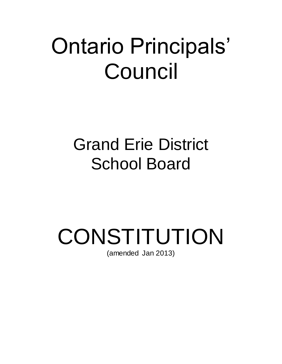## Ontario Principals' Council

## Grand Erie District School Board

# **CONSTITUTION**

(amended Jan 2013)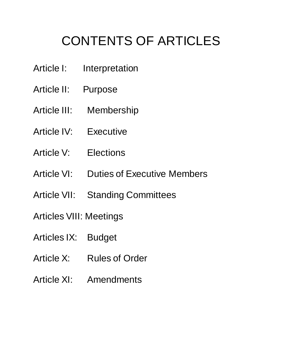### CONTENTS OF ARTICLES

- Article I: Interpretation
- Article II: Purpose
- Article III: Membership
- Article IV: Executive
- Article V: Elections
- Article VI: Duties of Executive Members
- Article VII: Standing Committees
- Articles VIII: Meetings
- Articles IX: Budget
- Article X: Rules of Order
- Article XI: Amendments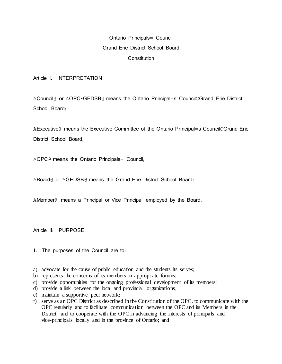#### Ontario Principals= Council Grand Erie District School Board **Constitution**

Article I: INTERPRETATION

ACouncil@ or AOPC-GEDSB@ means the Ontario Principal=s CouncilCGrand Erie District School Board;

AExecutive@ means the Executive Committee of the Ontario Principal=s CouncilCGrand Erie District School Board;

AOPC@ means the Ontario Principals= Council;

ABoard@ or AGEDSB@ means the Grand Erie District School Board;

AMember@ means a Principal or Vice-Principal employed by the Board.

Article II: PURPOSE

- 1. The purposes of the Council are to:
- a) advocate for the cause of public education and the students its serves;
- b) represents the concerns of its members in appropriate forums;
- c) provide opportunities for the ongoing professional development of its members;
- d) provide a link between the local and provincial organizations;
- e) maintain a supportive peer network;
- f) serve as an OPC District as described in the Constitution of the OPC, to communicate with the OPC regularly and to facilitate communication between the OPC and its Members in the District, and to cooperate with the OPC in advancing the interests of principals and vice-principals locally and in the province of Ontario; and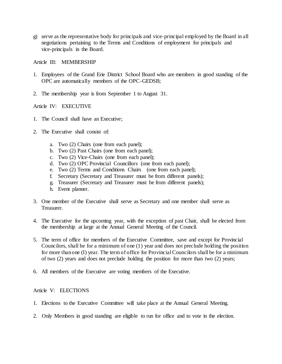g) serve as the representative body for principals and vice-principal employed by the Board in all negotiations pertaining to the Terms and Conditions of employment for principals and vice-principals in the Board.

Article III: MEMBERSHIP

- 1. Employees of the Grand Erie District School Board who are members in good standing of the OPC are automatically members of the OPC-GEDSB;
- 2. The membership year is from September 1 to August 31.

Article IV: EXECUTIVE

- 1. The Council shall have an Executive;
- 2. The Executive shall consist of:
	- a. Two (2) Chairs (one from each panel);
	- b. Two (2) Past Chairs (one from each panel);
	- c. Two (2) Vice-Chairs (one from each panel);
	- d. Two (2) OPC Provincial Councillors (one from each panel);
	- e. Two (2) Terms and Conditions Chairs (one from each panel);
	- f. Secretary (Secretary and Treasurer must be from different panels);
	- g. Treasurer (Secretary and Treasurer must be from different panels);
	- h. Event planner.
- 3. One member of the Executive shall serve as Secretary and one member shall serve as Treasurer.
- 4. The Executive for the upcoming year, with the exception of past Chair, shall be elected from the membership at large at the Annual General Meeting of the Council.
- 5. The term of office for members of the Executive Committee, save and except for Provincial Councilors, shall be for a minimum of one (1) year and does not preclude holding the position for more than one (I) year. The term of office for Provincial Councilors shall be for a minimum of two (2) years and does not preclude holding the position for more than two (2) years;
- 6. All members of the Executive are voting members of the Executive.

#### Article V: ELECTIONS

- 1. Elections to the Executive Committee will take place at the Annual General Meeting.
- 2. Only Members in good standing are eligible to run for office and to vote in the election.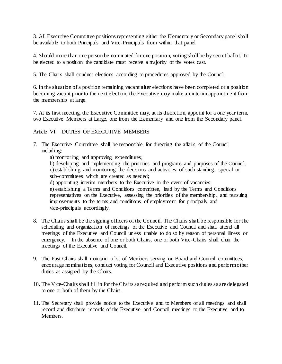3. All Executive Committee positions representing either the Elementary or Secondary panel shall be available to both Principals and Vice-Principals from within that panel.

4. Should more than one person be nominated for one position, voting shall be by secret ballot. To be elected to a position the candidate must receive a majority of the votes cast.

5. The Chairs shall conduct elections according to procedures approved by the Council.

6. In the situation of a position remaining vacant after elections have been completed or a position becoming vacant prior to the next election, the Executive may make an interim appointment from the membership at large.

7. At its first meeting, the Executive Committee may, at its discretion, appoint for a one year term, two Executive Members at Large, one from the Elementary and one from the Secondary panel.

Article VI: DUTIES OF EXECUTIVE MEMBERS

- 7. The Executive Committee shall be responsible for directing the affairs of the Council, including:
	- a) monitoring and approving expenditures;

b) developing and implementing the priorities and programs and purposes of the Council; c) establishing and monitoring the decisions and activities of such standing, special or sub-committees which are created as needed;

d) appointing interim members to the Executive in the event of vacancies;

e) establishing a Terms and Conditions committee, lead by the Terms and Conditions representatives on the Executive, assessing the priorities of the membership, and pursuing improvements to the terms and conditions of employment for principals and vice-principals accordingly.

- 8. The Chairs shall be the signing officers of the Council. The Chairs shall be responsible for the scheduling and organization of meetings of the Executive and Council and shall attend all meetings of the Executive and Council unless unable to do so by reason of personal illness or emergency. In the absence of one or both Chairs, one or both Vice-Chairs shall chair the meetings of the Executive and Council.
- 9. The Past Chairs shall maintain a list of Members serving on Board and Council committees, encourage nominations, conduct voting for Council and Executive positions and perform other duties as assigned by the Chairs.
- 10. The Vice-Chairs shall fill in for the Chairs as required and perform such duties as are delegated to one or both of them by the Chairs.
- 11. The Secretary shall provide notice to the Executive and to Members of all meetings and shall record and distribute records of the Executive and Council meetings to the Executive and to **Members**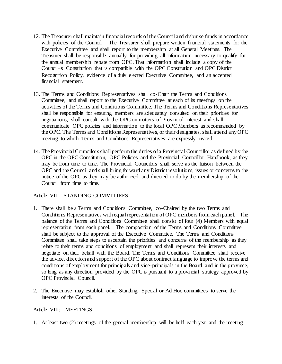- 12. The Treasurer shall maintain financial records of the Council and disburse funds in accordance with policies of the Council. The Treasurer shall prepare written financial statements for the Executive Committee and shall report to the membership at all General Meetings. The Treasurer shall be responsible annually for providing all information necessary to qualify for the annual membership rebate from OPC. That information shall include a copy of the Council=s Constitution that is compatible with the OPC Constitution and OPC District Recognition Policy, evidence of a duly elected Executive Committee, and an accepted financial statement.
- 13. The Terms and Conditions Representatives shall co-Chair the Terms and Conditions Committee, and shall report to the Executive Committee at each of its meetings on the activities of the Terms and Conditions Committee. The Terms and Conditions Representatives shall be responsible for ensuring members are adequately consulted on their priorities for negotiations, shall consult with the OPC on matters of Provincial interest and shall communicate OPC policies and information to the local OPC Members as recommended by the OPC. The Terms and Conditions Representatives, or their designates, shall attend any OPC meeting to which Terms and Conditions Representatives are expressly invited.
- 14. The Provincial Councilors shall perform the duties of a Provincial Councillor as defined by the OPC in the OPC Constitution, OPC Policies and the Provincial Councillor Handbook, as they may be from time to time. The Provincial Councilors shall serve as the liaison between the OPC and the Council and shall bring forward any District resolutions, issues or concerns to the notice of the OPC as they may be authorized and directed to do by the membership of the Council from time to time.

#### Article VII: STANDING COMMITTEES

- 1. There shall be a Terms and Conditions Committee, co-Chaired by the two Terms and Conditions Representatives with equal representation of OPC members from each panel. The balance of the Terms and Conditions Committee shall consist of four (4) Members with equal representation from each panel. The composition of the Terms and Conditions Committee shall be subject to the approval of the Executive Committee. The Terms and Conditions Committee shall take steps to ascertain the priorities and concerns of the membership as they relate to their terms and conditions of employment and shall represent their interests and negotiate on their behalf with the Board. The Terms and Conditions Committee shall receive the advice, direction and support of the OPC about contract language to improve the terms and conditions of employment for principals and vice-principals in the Board, and in the province, so long as any direction provided by the OPC is pursuant to a provincial strategy approved by OPC Provincial Council.
- 2. The Executive may establish other Standing, Special or Ad Hoc committees to serve the interests of the Council.

#### Article VIII: MEETINGS

1. At least two (2) meetings of the general membership will be held each year and the meeting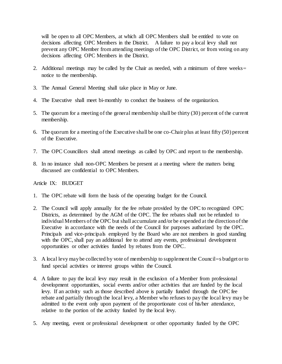will be open to all OPC Members, at which all OPC Members shall be entitled to vote on decisions affecting OPC Members in the District. A failure to pay a local levy shall not prevent any OPC Member from attending meetings of the OPC District, or from voting on any decisions affecting OPC Members in the District.

- 2. Additional meetings may be called by the Chair as needed, with a minimum of three weeks= notice to the membership.
- 3. The Annual General Meeting shall take place in May or June.
- 4. The Executive shall meet bi-monthly to conduct the business of the organization.
- 5. The quorum for a meeting of the general membership shall be thirty (30) percent of the current membership.
- 6. The quorum for a meeting of the Executive shall be one co-Chair plus at least fifty (50) percent of the Executive.
- 7. The OPC Councillors shall attend meetings as called by OPC and report to the membership.
- 8. In no instance shall non-OPC Members be present at a meeting where the matters being discussed are confidential to OPC Members.

#### Article IX: BUDGET

- 1. The OPC rebate will form the basis of the operating budget for the Council.
- 2. The Council will apply annually for the fee rebate provided by the OPC to recognized OPC Districts, as determined by the AGM of the OPC. The fee rebates shall not be refunded to individual Members of the OPC but shall accumulate and/or be expended at the direction of the Executive in accordance with the needs of the Council for purposes authorized by the OPC. Principals and vice-principals employed by the Board who are not members in good standing with the OPC, shall pay an additional fee to attend any events, professional development opportunities or other activities funded by rebates from the OPC.
- 3. A local levy may be collected by vote of membership to supplement the Council=s budget or to fund special activities or interest groups within the Council.
- 4. A failure to pay the local levy may result in the exclusion of a Member from professional development opportunities, social events and/or other activities that are funded by the local levy. If an activity such as those described above is partially funded through the OPC fee rebate and partially through the local levy, a Member who refuses to pay the local levy may be admitted to the event only upon payment of the proportionate cost of his/her attendance, relative to the portion of the activity funded by the local levy.
- 5. Any meeting, event or professional development or other opportunity funded by the OPC